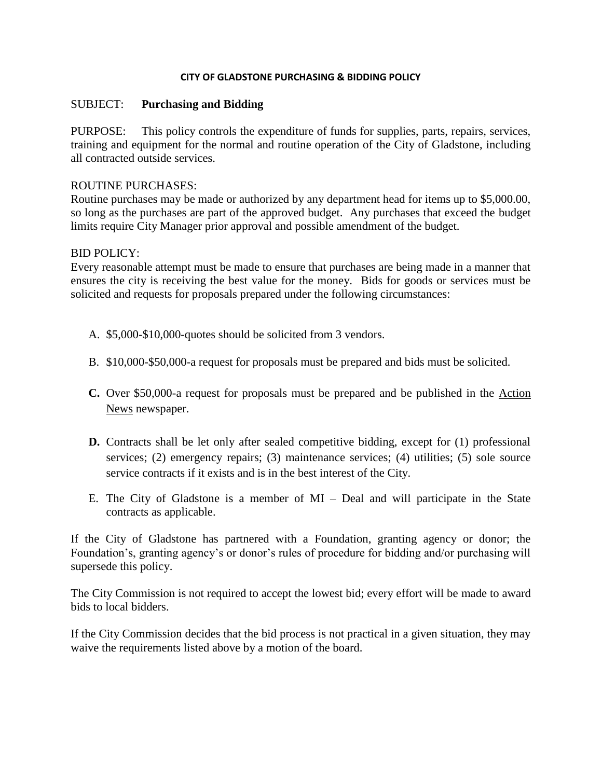## **CITY OF GLADSTONE PURCHASING & BIDDING POLICY**

## SUBJECT: **Purchasing and Bidding**

PURPOSE: This policy controls the expenditure of funds for supplies, parts, repairs, services, training and equipment for the normal and routine operation of the City of Gladstone, including all contracted outside services.

## ROUTINE PURCHASES:

Routine purchases may be made or authorized by any department head for items up to \$5,000.00, so long as the purchases are part of the approved budget. Any purchases that exceed the budget limits require City Manager prior approval and possible amendment of the budget.

## BID POLICY:

Every reasonable attempt must be made to ensure that purchases are being made in a manner that ensures the city is receiving the best value for the money. Bids for goods or services must be solicited and requests for proposals prepared under the following circumstances:

- A. \$5,000-\$10,000-quotes should be solicited from 3 vendors.
- B. \$10,000-\$50,000-a request for proposals must be prepared and bids must be solicited.
- **C.** Over \$50,000-a request for proposals must be prepared and be published in the Action News newspaper.
- **D.** Contracts shall be let only after sealed competitive bidding, except for (1) professional services; (2) emergency repairs; (3) maintenance services; (4) utilities; (5) sole source service contracts if it exists and is in the best interest of the City.
- E. The City of Gladstone is a member of MI Deal and will participate in the State contracts as applicable.

If the City of Gladstone has partnered with a Foundation, granting agency or donor; the Foundation's, granting agency's or donor's rules of procedure for bidding and/or purchasing will supersede this policy.

The City Commission is not required to accept the lowest bid; every effort will be made to award bids to local bidders.

If the City Commission decides that the bid process is not practical in a given situation, they may waive the requirements listed above by a motion of the board.